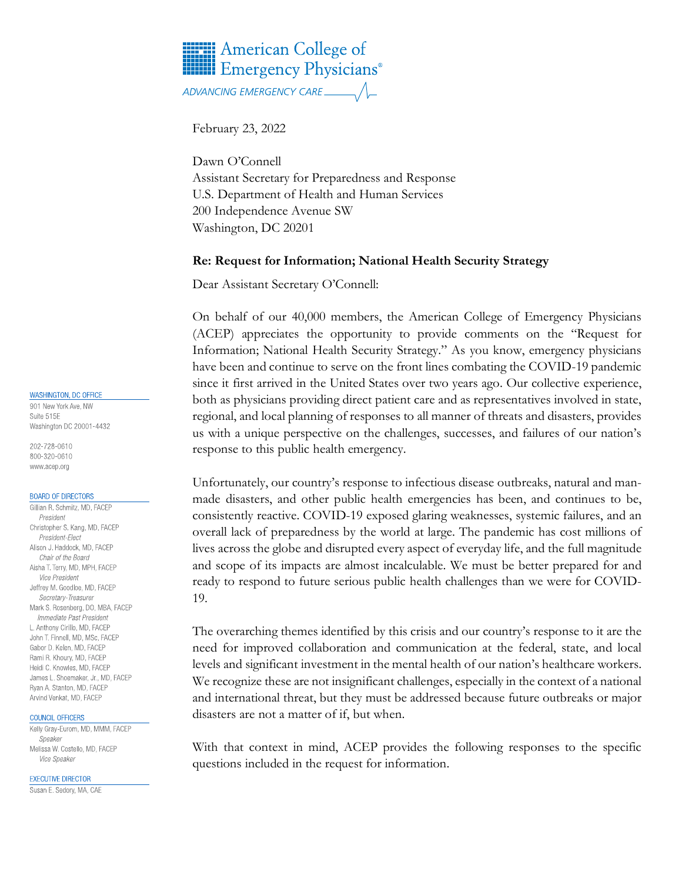# **HERE** American College of **HILLE** Emergency Physicians<sup>®</sup>

February 23, 2022

Dawn O'Connell Assistant Secretary for Preparedness and Response U.S. Department of Health and Human Services 200 Independence Avenue SW Washington, DC 20201

### **Re: Request for Information; National Health Security Strategy**

Dear Assistant Secretary O'Connell:

On behalf of our 40,000 members, the American College of Emergency Physicians (ACEP) appreciates the opportunity to provide comments on the "Request for Information; National Health Security Strategy." As you know, emergency physicians have been and continue to serve on the front lines combating the COVID-19 pandemic since it first arrived in the United States over two years ago. Our collective experience, both as physicians providing direct patient care and as representatives involved in state, regional, and local planning of responses to all manner of threats and disasters, provides us with a unique perspective on the challenges, successes, and failures of our nation's response to this public health emergency.

Unfortunately, our country's response to infectious disease outbreaks, natural and manmade disasters, and other public health emergencies has been, and continues to be, consistently reactive. COVID-19 exposed glaring weaknesses, systemic failures, and an overall lack of preparedness by the world at large. The pandemic has cost millions of lives across the globe and disrupted every aspect of everyday life, and the full magnitude and scope of its impacts are almost incalculable. We must be better prepared for and ready to respond to future serious public health challenges than we were for COVID-19.

The overarching themes identified by this crisis and our country's response to it are the need for improved collaboration and communication at the federal, state, and local levels and significant investment in the mental health of our nation's healthcare workers. We recognize these are not insignificant challenges, especially in the context of a national and international threat, but they must be addressed because future outbreaks or major disasters are not a matter of if, but when.

With that context in mind, ACEP provides the following responses to the specific questions included in the request for information.

#### **WASHINGTON, DC OFFICE**

901 New York Ave, NW Suite 515F Washington DC 20001-4432

202-728-0610 800-320-0610 www.acep.org

#### **BOARD OF DIRECTORS**

Gillian R. Schmitz, MD, FACEP President Christopher S. Kang, MD, FACEP President-Elect Alison J. Haddock, MD, FACEP Chair of the Board Aisha T. Terry, MD, MPH, FACEP *Vice President* Jeffrey M. Goodloe, MD, FACEP Secretary-Treasurer Mark S. Rosenberg, DO, MBA, FACEP Immediate Past President L. Anthony Cirillo, MD, FACEP John T. Finnell, MD, MSc, FACEP Gabor D. Kelen, MD, FACEP Rami R. Khoury, MD, FACEP Heidi C. Knowles, MD, FACEP James L. Shoemaker, Jr., MD, FACEP Ryan A. Stanton, MD, FACEP Arvind Venkat, MD, FACEP

#### COUNCIL OFFICERS

Kelly Gray-Eurom, MD, MMM, FACEP Sneaker Melissa W. Costello, MD, FACEP Vice Speaker

**EXECUTIVE DIRECTOR** 

Susan E. Sedory, MA, CAE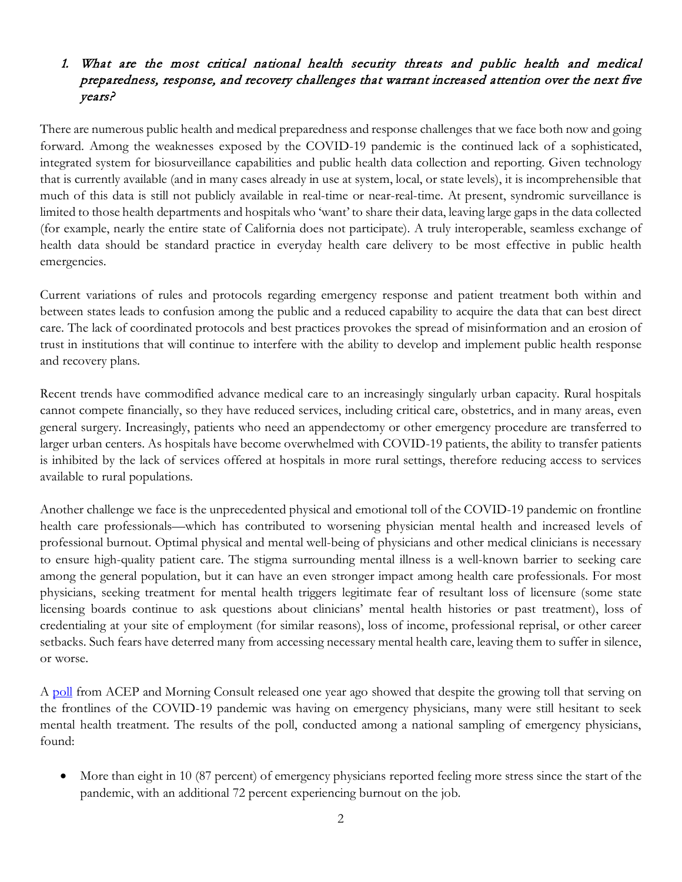### 1. What are the most critical national health security threats and public health and medical preparedness, response, and recovery challenges that warrant increased attention over the next five years?

There are numerous public health and medical preparedness and response challenges that we face both now and going forward. Among the weaknesses exposed by the COVID-19 pandemic is the continued lack of a sophisticated, integrated system for biosurveillance capabilities and public health data collection and reporting. Given technology that is currently available (and in many cases already in use at system, local, or state levels), it is incomprehensible that much of this data is still not publicly available in real-time or near-real-time. At present, syndromic surveillance is limited to those health departments and hospitals who 'want' to share their data, leaving large gaps in the data collected (for example, nearly the entire state of California does not participate). A truly interoperable, seamless exchange of health data should be standard practice in everyday health care delivery to be most effective in public health emergencies.

Current variations of rules and protocols regarding emergency response and patient treatment both within and between states leads to confusion among the public and a reduced capability to acquire the data that can best direct care. The lack of coordinated protocols and best practices provokes the spread of misinformation and an erosion of trust in institutions that will continue to interfere with the ability to develop and implement public health response and recovery plans.

Recent trends have commodified advance medical care to an increasingly singularly urban capacity. Rural hospitals cannot compete financially, so they have reduced services, including critical care, obstetrics, and in many areas, even general surgery. Increasingly, patients who need an appendectomy or other emergency procedure are transferred to larger urban centers. As hospitals have become overwhelmed with COVID-19 patients, the ability to transfer patients is inhibited by the lack of services offered at hospitals in more rural settings, therefore reducing access to services available to rural populations.

Another challenge we face is the unprecedented physical and emotional toll of the COVID-19 pandemic on frontline health care professionals—which has contributed to worsening physician mental health and increased levels of professional burnout. Optimal physical and mental well-being of physicians and other medical clinicians is necessary to ensure high-quality patient care. The stigma surrounding mental illness is a well-known barrier to seeking care among the general population, but it can have an even stronger impact among health care professionals. For most physicians, seeking treatment for mental health triggers legitimate fear of resultant loss of licensure (some state licensing boards continue to ask questions about clinicians' mental health histories or past treatment), loss of credentialing at your site of employment (for similar reasons), loss of income, professional reprisal, or other career setbacks. Such fears have deterred many from accessing necessary mental health care, leaving them to suffer in silence, or worse.

A [poll](https://www.acep.org/federal-advocacy/federal-advocacy-overview/regs--eggs/regs--eggs-articles/regs--eggs---october-29-2020/) from ACEP and Morning Consult released one year ago showed that despite the growing toll that serving on the frontlines of the COVID-19 pandemic was having on emergency physicians, many were still hesitant to seek mental health treatment. The results of the poll, conducted among a national sampling of emergency physicians, found:

• More than eight in 10 (87 percent) of emergency physicians reported feeling more stress since the start of the pandemic, with an additional 72 percent experiencing burnout on the job.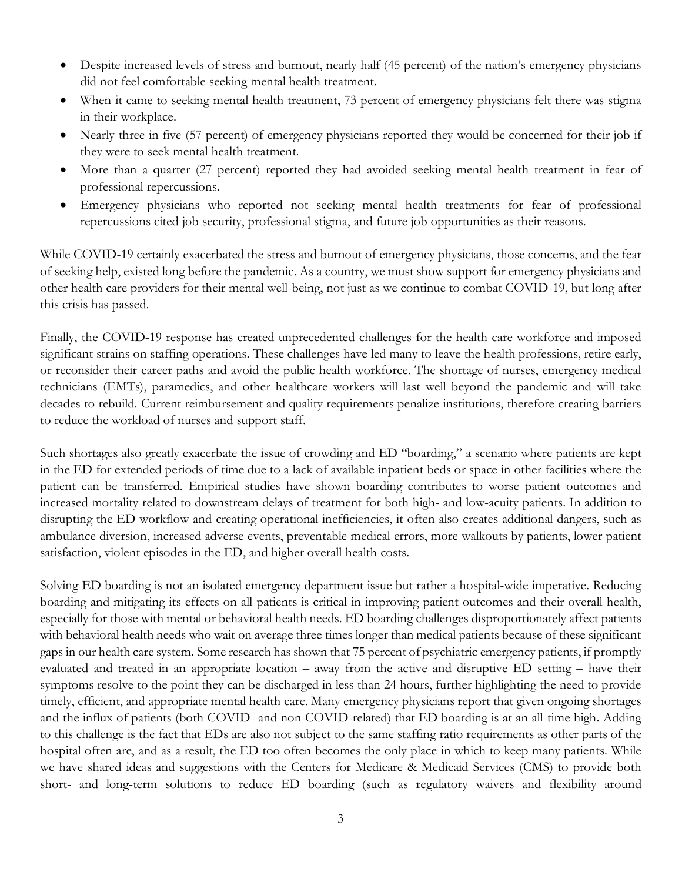- Despite increased levels of stress and burnout, nearly half (45 percent) of the nation's emergency physicians did not feel comfortable seeking mental health treatment.
- When it came to seeking mental health treatment, 73 percent of emergency physicians felt there was stigma in their workplace.
- Nearly three in five (57 percent) of emergency physicians reported they would be concerned for their job if they were to seek mental health treatment.
- More than a quarter (27 percent) reported they had avoided seeking mental health treatment in fear of professional repercussions.
- Emergency physicians who reported not seeking mental health treatments for fear of professional repercussions cited job security, professional stigma, and future job opportunities as their reasons.

While COVID-19 certainly exacerbated the stress and burnout of emergency physicians, those concerns, and the fear of seeking help, existed long before the pandemic. As a country, we must show support for emergency physicians and other health care providers for their mental well-being, not just as we continue to combat COVID-19, but long after this crisis has passed.

Finally, the COVID-19 response has created unprecedented challenges for the health care workforce and imposed significant strains on staffing operations. These challenges have led many to leave the health professions, retire early, or reconsider their career paths and avoid the public health workforce. The shortage of nurses, emergency medical technicians (EMTs), paramedics, and other healthcare workers will last well beyond the pandemic and will take decades to rebuild. Current reimbursement and quality requirements penalize institutions, therefore creating barriers to reduce the workload of nurses and support staff.

Such shortages also greatly exacerbate the issue of crowding and ED "boarding," a scenario where patients are kept in the ED for extended periods of time due to a lack of available inpatient beds or space in other facilities where the patient can be transferred. Empirical studies have shown boarding contributes to worse patient outcomes and increased mortality related to downstream delays of treatment for both high- and low-acuity patients. In addition to disrupting the ED workflow and creating operational inefficiencies, it often also creates additional dangers, such as ambulance diversion, increased adverse events, preventable medical errors, more walkouts by patients, lower patient satisfaction, violent episodes in the ED, and higher overall health costs.

Solving ED boarding is not an isolated emergency department issue but rather a hospital-wide imperative. Reducing boarding and mitigating its effects on all patients is critical in improving patient outcomes and their overall health, especially for those with mental or behavioral health needs. ED boarding challenges disproportionately affect patients with behavioral health needs who wait on average three times longer than medical patients because of these significant gaps in our health care system. Some research has shown that 75 percent of psychiatric emergency patients, if promptly evaluated and treated in an appropriate location – away from the active and disruptive ED setting – have their symptoms resolve to the point they can be discharged in less than 24 hours, further highlighting the need to provide timely, efficient, and appropriate mental health care. Many emergency physicians report that given ongoing shortages and the influx of patients (both COVID- and non-COVID-related) that ED boarding is at an all-time high. Adding to this challenge is the fact that EDs are also not subject to the same staffing ratio requirements as other parts of the hospital often are, and as a result, the ED too often becomes the only place in which to keep many patients. While we have shared ideas and suggestions with the Centers for Medicare & Medicaid Services (CMS) to provide both short- and long-term solutions to reduce ED boarding (such as regulatory waivers and flexibility around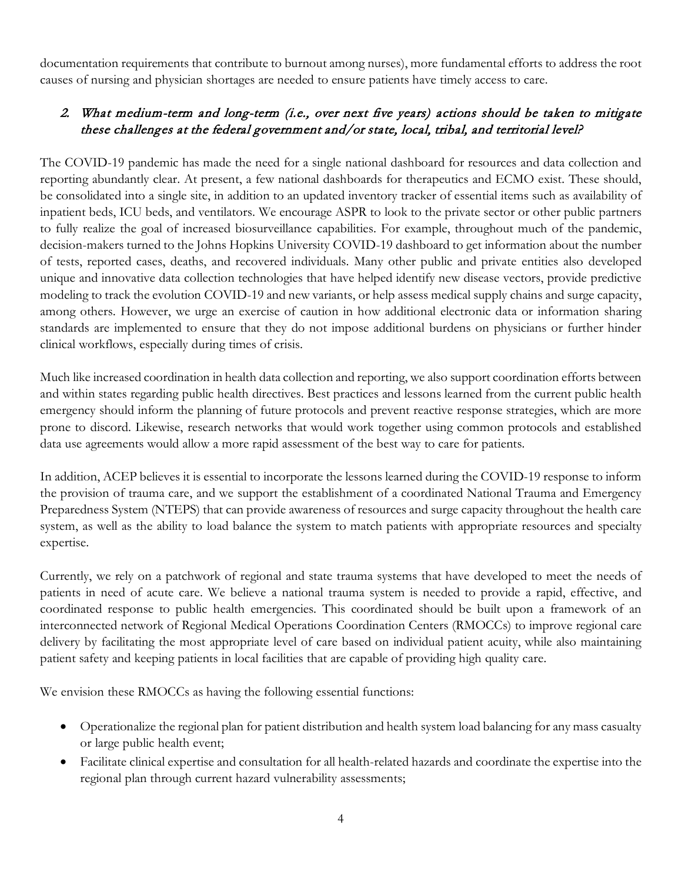documentation requirements that contribute to burnout among nurses), more fundamental efforts to address the root causes of nursing and physician shortages are needed to ensure patients have timely access to care.

## 2. What medium-term and long-term (i.e., over next five years) actions should be taken to mitigate these challenges at the federal government and/or state, local, tribal, and territorial level?

The COVID-19 pandemic has made the need for a single national dashboard for resources and data collection and reporting abundantly clear. At present, a few national dashboards for therapeutics and ECMO exist. These should, be consolidated into a single site, in addition to an updated inventory tracker of essential items such as availability of inpatient beds, ICU beds, and ventilators. We encourage ASPR to look to the private sector or other public partners to fully realize the goal of increased biosurveillance capabilities. For example, throughout much of the pandemic, decision-makers turned to the Johns Hopkins University COVID-19 dashboard to get information about the number of tests, reported cases, deaths, and recovered individuals. Many other public and private entities also developed unique and innovative data collection technologies that have helped identify new disease vectors, provide predictive modeling to track the evolution COVID-19 and new variants, or help assess medical supply chains and surge capacity, among others. However, we urge an exercise of caution in how additional electronic data or information sharing standards are implemented to ensure that they do not impose additional burdens on physicians or further hinder clinical workflows, especially during times of crisis.

Much like increased coordination in health data collection and reporting, we also support coordination efforts between and within states regarding public health directives. Best practices and lessons learned from the current public health emergency should inform the planning of future protocols and prevent reactive response strategies, which are more prone to discord. Likewise, research networks that would work together using common protocols and established data use agreements would allow a more rapid assessment of the best way to care for patients.

In addition, ACEP believes it is essential to incorporate the lessons learned during the COVID-19 response to inform the provision of trauma care, and we support the establishment of a coordinated National Trauma and Emergency Preparedness System (NTEPS) that can provide awareness of resources and surge capacity throughout the health care system, as well as the ability to load balance the system to match patients with appropriate resources and specialty expertise.

Currently, we rely on a patchwork of regional and state trauma systems that have developed to meet the needs of patients in need of acute care. We believe a national trauma system is needed to provide a rapid, effective, and coordinated response to public health emergencies. This coordinated should be built upon a framework of an interconnected network of Regional Medical Operations Coordination Centers (RMOCCs) to improve regional care delivery by facilitating the most appropriate level of care based on individual patient acuity, while also maintaining patient safety and keeping patients in local facilities that are capable of providing high quality care.

We envision these RMOCCs as having the following essential functions:

- Operationalize the regional plan for patient distribution and health system load balancing for any mass casualty or large public health event;
- Facilitate clinical expertise and consultation for all health-related hazards and coordinate the expertise into the regional plan through current hazard vulnerability assessments;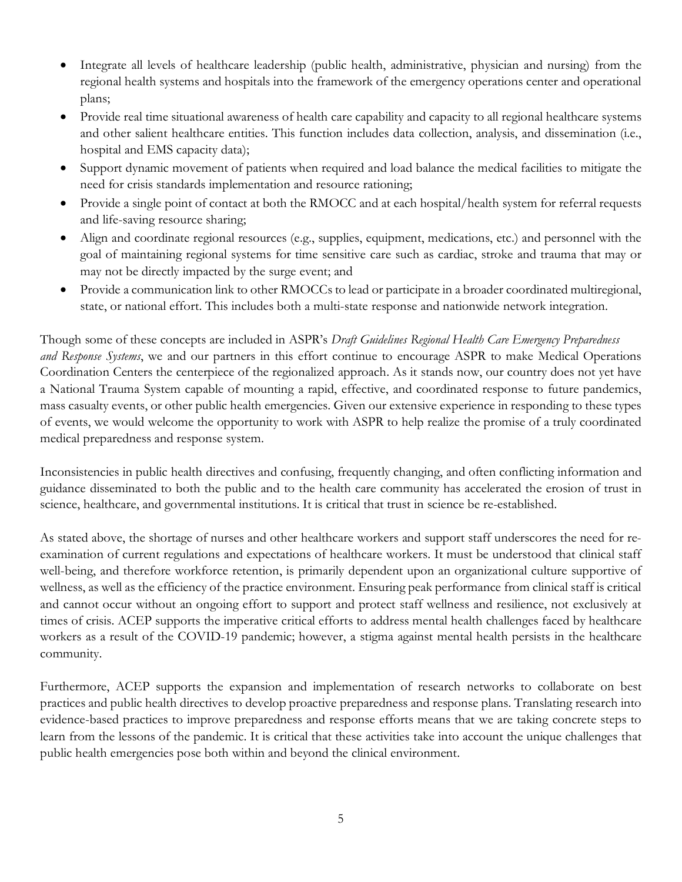- Integrate all levels of healthcare leadership (public health, administrative, physician and nursing) from the regional health systems and hospitals into the framework of the emergency operations center and operational plans;
- Provide real time situational awareness of health care capability and capacity to all regional healthcare systems and other salient healthcare entities. This function includes data collection, analysis, and dissemination (i.e., hospital and EMS capacity data);
- Support dynamic movement of patients when required and load balance the medical facilities to mitigate the need for crisis standards implementation and resource rationing;
- Provide a single point of contact at both the RMOCC and at each hospital/health system for referral requests and life-saving resource sharing;
- Align and coordinate regional resources (e.g., supplies, equipment, medications, etc.) and personnel with the goal of maintaining regional systems for time sensitive care such as cardiac, stroke and trauma that may or may not be directly impacted by the surge event; and
- Provide a communication link to other RMOCCs to lead or participate in a broader coordinated multiregional, state, or national effort. This includes both a multi-state response and nationwide network integration.

Though some of these concepts are included in ASPR's *Draft Guidelines Regional Health Care Emergency Preparedness and Response Systems*, we and our partners in this effort continue to encourage ASPR to make Medical Operations Coordination Centers the centerpiece of the regionalized approach. As it stands now, our country does not yet have a National Trauma System capable of mounting a rapid, effective, and coordinated response to future pandemics, mass casualty events, or other public health emergencies. Given our extensive experience in responding to these types of events, we would welcome the opportunity to work with ASPR to help realize the promise of a truly coordinated medical preparedness and response system.

Inconsistencies in public health directives and confusing, frequently changing, and often conflicting information and guidance disseminated to both the public and to the health care community has accelerated the erosion of trust in science, healthcare, and governmental institutions. It is critical that trust in science be re-established.

As stated above, the shortage of nurses and other healthcare workers and support staff underscores the need for reexamination of current regulations and expectations of healthcare workers. It must be understood that clinical staff well-being, and therefore workforce retention, is primarily dependent upon an organizational culture supportive of wellness, as well as the efficiency of the practice environment. Ensuring peak performance from clinical staff is critical and cannot occur without an ongoing effort to support and protect staff wellness and resilience, not exclusively at times of crisis. ACEP supports the imperative critical efforts to address mental health challenges faced by healthcare workers as a result of the COVID-19 pandemic; however, a stigma against mental health persists in the healthcare community.

Furthermore, ACEP supports the expansion and implementation of research networks to collaborate on best practices and public health directives to develop proactive preparedness and response plans. Translating research into evidence-based practices to improve preparedness and response efforts means that we are taking concrete steps to learn from the lessons of the pandemic. It is critical that these activities take into account the unique challenges that public health emergencies pose both within and beyond the clinical environment.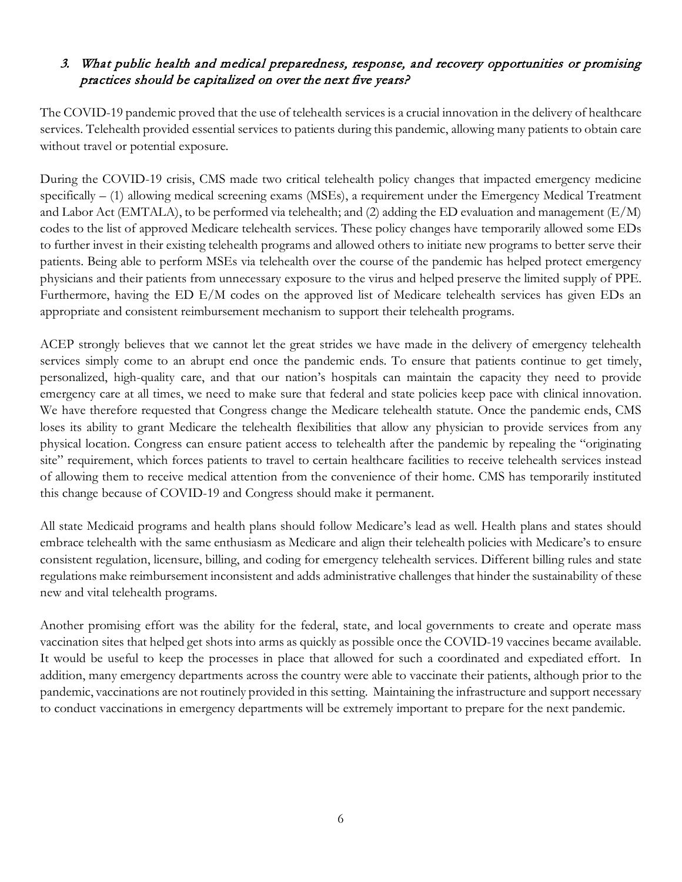### 3. What public health and medical preparedness, response, and recovery opportunities or promising practices should be capitalized on over the next five years?

The COVID-19 pandemic proved that the use of telehealth services is a crucial innovation in the delivery of healthcare services. Telehealth provided essential services to patients during this pandemic, allowing many patients to obtain care without travel or potential exposure.

During the COVID-19 crisis, CMS made two critical telehealth policy changes that impacted emergency medicine specifically – (1) allowing medical screening exams (MSEs), a requirement under the Emergency Medical Treatment and Labor Act (EMTALA), to be performed via telehealth; and (2) adding the ED evaluation and management (E/M) codes to the list of approved Medicare telehealth services. These policy changes have temporarily allowed some EDs to further invest in their existing telehealth programs and allowed others to initiate new programs to better serve their patients. Being able to perform MSEs via telehealth over the course of the pandemic has helped protect emergency physicians and their patients from unnecessary exposure to the virus and helped preserve the limited supply of PPE. Furthermore, having the ED E/M codes on the approved list of Medicare telehealth services has given EDs an appropriate and consistent reimbursement mechanism to support their telehealth programs.

ACEP strongly believes that we cannot let the great strides we have made in the delivery of emergency telehealth services simply come to an abrupt end once the pandemic ends. To ensure that patients continue to get timely, personalized, high-quality care, and that our nation's hospitals can maintain the capacity they need to provide emergency care at all times, we need to make sure that federal and state policies keep pace with clinical innovation. We have therefore requested that Congress change the Medicare telehealth statute. Once the pandemic ends, CMS loses its ability to grant Medicare the telehealth flexibilities that allow any physician to provide services from any physical location. Congress can ensure patient access to telehealth after the pandemic by repealing the "originating site" requirement, which forces patients to travel to certain healthcare facilities to receive telehealth services instead of allowing them to receive medical attention from the convenience of their home. CMS has temporarily instituted this change because of COVID-19 and Congress should make it permanent.

All state Medicaid programs and health plans should follow Medicare's lead as well. Health plans and states should embrace telehealth with the same enthusiasm as Medicare and align their telehealth policies with Medicare's to ensure consistent regulation, licensure, billing, and coding for emergency telehealth services. Different billing rules and state regulations make reimbursement inconsistent and adds administrative challenges that hinder the sustainability of these new and vital telehealth programs.

Another promising effort was the ability for the federal, state, and local governments to create and operate mass vaccination sites that helped get shots into arms as quickly as possible once the COVID-19 vaccines became available. It would be useful to keep the processes in place that allowed for such a coordinated and expediated effort. In addition, many emergency departments across the country were able to vaccinate their patients, although prior to the pandemic, vaccinations are not routinely provided in this setting. Maintaining the infrastructure and support necessary to conduct vaccinations in emergency departments will be extremely important to prepare for the next pandemic.